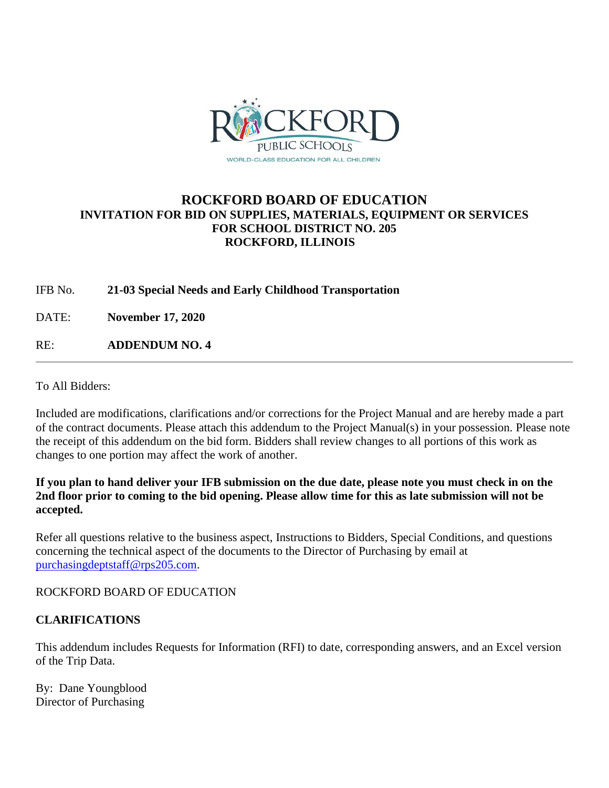

# **ROCKFORD BOARD OF EDUCATION INVITATION FOR BID ON SUPPLIES, MATERIALS, EQUIPMENT OR SERVICES FOR SCHOOL DISTRICT NO. 205 ROCKFORD, ILLINOIS**

# IFB No. **21-03 Special Needs and Early Childhood Transportation**

DATE: **November 17, 2020**

RE: **ADDENDUM NO. 4**

To All Bidders:

Included are modifications, clarifications and/or corrections for the Project Manual and are hereby made a part of the contract documents. Please attach this addendum to the Project Manual(s) in your possession. Please note the receipt of this addendum on the bid form. Bidders shall review changes to all portions of this work as changes to one portion may affect the work of another.

#### **If you plan to hand deliver your IFB submission on the due date, please note you must check in on the 2nd floor prior to coming to the bid opening. Please allow time for this as late submission will not be accepted.**

Refer all questions relative to the business aspect, Instructions to Bidders, Special Conditions, and questions concerning the technical aspect of the documents to the Director of Purchasing by email at [purchasingdeptstaff@rps205.com.](mailto:purchasingdeptstaff@rps205.com)

ROCKFORD BOARD OF EDUCATION

### **CLARIFICATIONS**

This addendum includes Requests for Information (RFI) to date, corresponding answers, and an Excel version of the Trip Data.

By: Dane Youngblood Director of Purchasing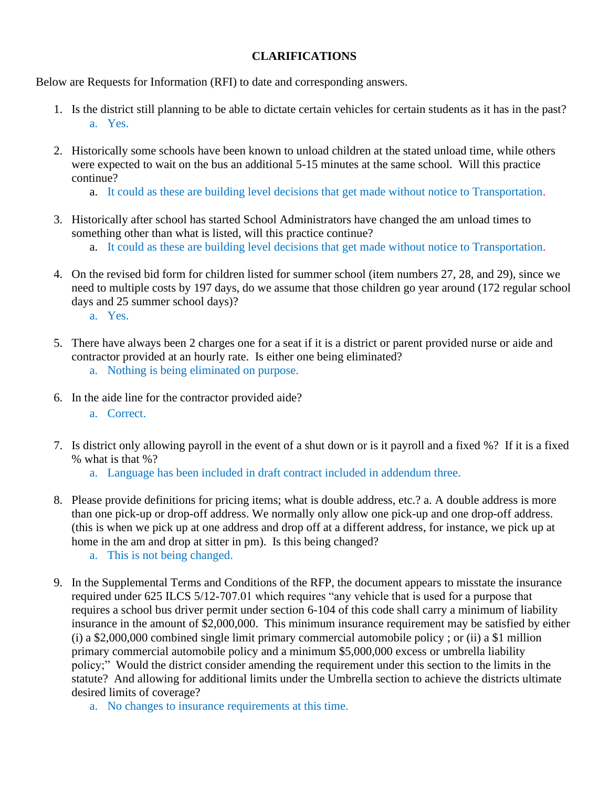### **CLARIFICATIONS**

Below are Requests for Information (RFI) to date and corresponding answers.

- 1. Is the district still planning to be able to dictate certain vehicles for certain students as it has in the past? a. Yes.
- 2. Historically some schools have been known to unload children at the stated unload time, while others were expected to wait on the bus an additional 5-15 minutes at the same school. Will this practice continue?
	- a. It could as these are building level decisions that get made without notice to Transportation.
- 3. Historically after school has started School Administrators have changed the am unload times to something other than what is listed, will this practice continue?
	- a. It could as these are building level decisions that get made without notice to Transportation.
- 4. On the revised bid form for children listed for summer school (item numbers 27, 28, and 29), since we need to multiple costs by 197 days, do we assume that those children go year around (172 regular school days and 25 summer school days)?
	- a. Yes.
- 5. There have always been 2 charges one for a seat if it is a district or parent provided nurse or aide and contractor provided at an hourly rate. Is either one being eliminated?
	- a. Nothing is being eliminated on purpose.
- 6. In the aide line for the contractor provided aide?
	- a. Correct.
- 7. Is district only allowing payroll in the event of a shut down or is it payroll and a fixed %? If it is a fixed % what is that %?
	- a. Language has been included in draft contract included in addendum three.
- 8. Please provide definitions for pricing items; what is double address, etc.? a. A double address is more than one pick-up or drop-off address. We normally only allow one pick-up and one drop-off address. (this is when we pick up at one address and drop off at a different address, for instance, we pick up at home in the am and drop at sitter in pm). Is this being changed?
	- a. This is not being changed.
- 9. In the Supplemental Terms and Conditions of the RFP, the document appears to misstate the insurance required under 625 ILCS 5/12-707.01 which requires "any vehicle that is used for a purpose that requires a school bus driver permit under section 6-104 of this code shall carry a minimum of liability insurance in the amount of \$2,000,000. This minimum insurance requirement may be satisfied by either (i) a \$2,000,000 combined single limit primary commercial automobile policy ; or (ii) a \$1 million primary commercial automobile policy and a minimum \$5,000,000 excess or umbrella liability policy;" Would the district consider amending the requirement under this section to the limits in the statute? And allowing for additional limits under the Umbrella section to achieve the districts ultimate desired limits of coverage?
	- a. No changes to insurance requirements at this time.